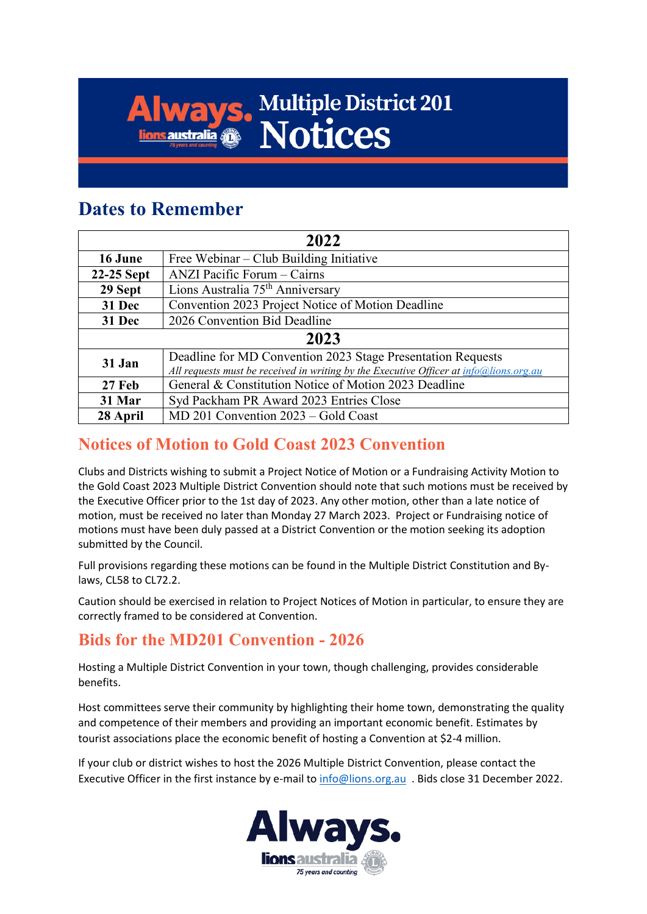# **Always. Multiple District 201**

### **Dates to Remember**

| 2022       |                                                                                        |  |  |  |  |  |
|------------|----------------------------------------------------------------------------------------|--|--|--|--|--|
| 16 June    | Free Webinar – Club Building Initiative                                                |  |  |  |  |  |
| 22-25 Sept | ANZI Pacific Forum – Cairns                                                            |  |  |  |  |  |
| 29 Sept    | Lions Australia 75 <sup>th</sup> Anniversary                                           |  |  |  |  |  |
| 31 Dec     | Convention 2023 Project Notice of Motion Deadline                                      |  |  |  |  |  |
| 31 Dec     | 2026 Convention Bid Deadline                                                           |  |  |  |  |  |
| 2023       |                                                                                        |  |  |  |  |  |
| 31 Jan     | Deadline for MD Convention 2023 Stage Presentation Requests                            |  |  |  |  |  |
|            | All requests must be received in writing by the Executive Officer at info@lions.org.au |  |  |  |  |  |
| 27 Feb     | General & Constitution Notice of Motion 2023 Deadline                                  |  |  |  |  |  |
| 31 Mar     | Syd Packham PR Award 2023 Entries Close                                                |  |  |  |  |  |
| 28 April   | MD 201 Convention 2023 – Gold Coast                                                    |  |  |  |  |  |

#### **Notices of Motion to Gold Coast 2023 Convention**

Clubs and Districts wishing to submit a Project Notice of Motion or a Fundraising Activity Motion to the Gold Coast 2023 Multiple District Convention should note that such motions must be received by the Executive Officer prior to the 1st day of 2023. Any other motion, other than a late notice of motion, must be received no later than Monday 27 March 2023. Project or Fundraising notice of motions must have been duly passed at a District Convention or the motion seeking its adoption submitted by the Council.

Full provisions regarding these motions can be found in the Multiple District Constitution and Bylaws, CL58 to CL72.2.

Caution should be exercised in relation to Project Notices of Motion in particular, to ensure they are correctly framed to be considered at Convention.

#### **Bids for the MD201 Convention - 2026**

Hosting a Multiple District Convention in your town, though challenging, provides considerable benefits.

Host committees serve their community by highlighting their home town, demonstrating the quality and competence of their members and providing an important economic benefit. Estimates by tourist associations place the economic benefit of hosting a Convention at \$2-4 million.

If your club or district wishes to host the 2026 Multiple District Convention, please contact the Executive Officer in the first instance by e-mail to [info@lions.org.au](mailto:info@lions.org.au) . Bids close 31 December 2022.

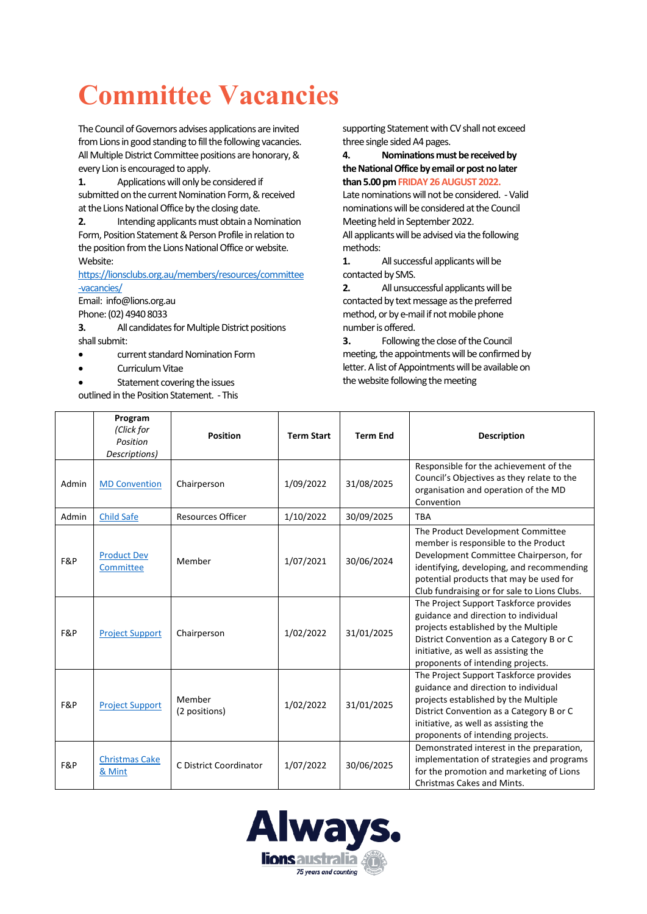## **Committee Vacancies**

The Council of Governors advises applications are invited from Lions in good standing to fill the following vacancies. All Multiple District Committee positions are honorary, & every Lion is encouraged to apply.

**1.** Applications will only be considered if submitted on the current Nomination Form, & received at the Lions National Office by the closing date.

**2.** Intending applicants must obtain a Nomination Form, Position Statement & Person Profile in relation to the position from the Lions National Office or website. Website:

[https://lionsclubs.org.au/members/resources/committee](https://lionsclubs.org.au/members/resources/committee-vacancies/) [-vacancies/](https://lionsclubs.org.au/members/resources/committee-vacancies/) 

Email: info@lions.org.au Phone: (02) 4940 8033

**3.** All candidates for Multiple District positions shall submit:

- current standard Nomination Form
- Curriculum Vitae
- Statement covering the issues
- outlined in the Position Statement. This

supporting Statement with CV shall not exceed three single sided A4 pages.

**4. Nominations must be received by the National Office by email or post no later than 5.00pm FRIDAY 26 AUGUST 2022.**

Late nominations will not be considered. - Valid nominations will be considered at the Council Meeting held in September 2022.

All applicants will be advised via the following methods:

**1.** All successful applicants will be contacted by SMS.

**2.** All unsuccessful applicants will be contacted by text message as the preferred method, or by e-mail if not mobile phone number is offered.

**3.** Following the close of the Council meeting, the appointments will be confirmed by letter. A list of Appointments will be available on the website following the meeting

|       | Program<br>(Click for<br>Position<br>Descriptions) | <b>Position</b>          | <b>Term Start</b> | <b>Term End</b> | <b>Description</b>                                                                                                                                                                                                                                          |
|-------|----------------------------------------------------|--------------------------|-------------------|-----------------|-------------------------------------------------------------------------------------------------------------------------------------------------------------------------------------------------------------------------------------------------------------|
| Admin | <b>MD Convention</b>                               | Chairperson              | 1/09/2022         | 31/08/2025      | Responsible for the achievement of the<br>Council's Objectives as they relate to the<br>organisation and operation of the MD<br>Convention                                                                                                                  |
| Admin | <b>Child Safe</b>                                  | <b>Resources Officer</b> | 1/10/2022         | 30/09/2025      | <b>TBA</b>                                                                                                                                                                                                                                                  |
| F&P   | <b>Product Dev</b><br>Committee                    | Member                   | 1/07/2021         | 30/06/2024      | The Product Development Committee<br>member is responsible to the Product<br>Development Committee Chairperson, for<br>identifying, developing, and recommending<br>potential products that may be used for<br>Club fundraising or for sale to Lions Clubs. |
| F&P   | <b>Project Support</b>                             | Chairperson              | 1/02/2022         | 31/01/2025      | The Project Support Taskforce provides<br>guidance and direction to individual<br>projects established by the Multiple<br>District Convention as a Category B or C<br>initiative, as well as assisting the<br>proponents of intending projects.             |
| F&P   | <b>Project Support</b>                             | Member<br>(2 positions)  | 1/02/2022         | 31/01/2025      | The Project Support Taskforce provides<br>guidance and direction to individual<br>projects established by the Multiple<br>District Convention as a Category B or C<br>initiative, as well as assisting the<br>proponents of intending projects.             |
| F&P   | <b>Christmas Cake</b><br>& Mint                    | C District Coordinator   | 1/07/2022         | 30/06/2025      | Demonstrated interest in the preparation,<br>implementation of strategies and programs<br>for the promotion and marketing of Lions<br>Christmas Cakes and Mints.                                                                                            |

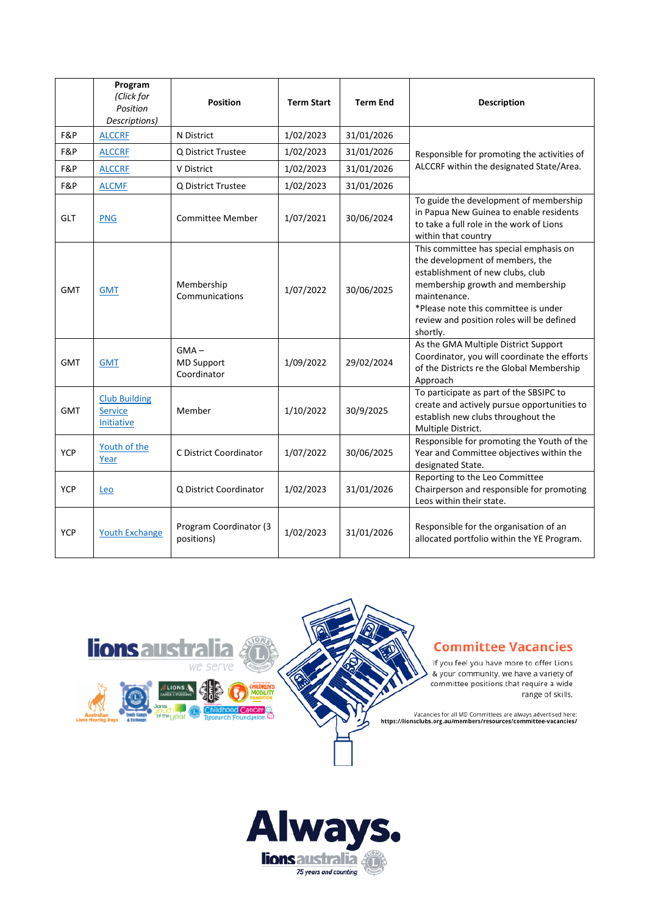|            | Program<br>(Click for<br>Position<br>Descriptions) | <b>Position</b>                             | <b>Term Start</b> | <b>Term End</b> | <b>Description</b>                                                                                                                                                                                                                                                 |
|------------|----------------------------------------------------|---------------------------------------------|-------------------|-----------------|--------------------------------------------------------------------------------------------------------------------------------------------------------------------------------------------------------------------------------------------------------------------|
| F&P        | <b>ALCCRF</b>                                      | N District                                  | 1/02/2023         | 31/01/2026      | Responsible for promoting the activities of<br>ALCCRF within the designated State/Area.                                                                                                                                                                            |
| F&P        | <b>ALCCRE</b>                                      | Q District Trustee                          | 1/02/2023         | 31/01/2026      |                                                                                                                                                                                                                                                                    |
| F&P        | <b>ALCCRE</b>                                      | V District                                  | 1/02/2023         | 31/01/2026      |                                                                                                                                                                                                                                                                    |
| F&P        | <b>ALCMF</b>                                       | Q District Trustee                          | 1/02/2023         | 31/01/2026      |                                                                                                                                                                                                                                                                    |
| <b>GLT</b> | <b>PNG</b>                                         | Committee Member                            | 1/07/2021         | 30/06/2024      | To guide the development of membership<br>in Papua New Guinea to enable residents<br>to take a full role in the work of Lions<br>within that country                                                                                                               |
| <b>GMT</b> | <b>GMT</b>                                         | Membership<br>Communications                | 1/07/2022         | 30/06/2025      | This committee has special emphasis on<br>the development of members, the<br>establishment of new clubs, club<br>membership growth and membership<br>maintenance.<br>*Please note this committee is under<br>review and position roles will be defined<br>shortly. |
| <b>GMT</b> | <b>GMT</b>                                         | $GMA -$<br><b>MD Support</b><br>Coordinator | 1/09/2022         | 29/02/2024      | As the GMA Multiple District Support<br>Coordinator, you will coordinate the efforts<br>of the Districts re the Global Membership<br>Approach                                                                                                                      |
| <b>GMT</b> | <b>Club Building</b><br>Service<br>Initiative      | Member                                      | 1/10/2022         | 30/9/2025       | To participate as part of the SBSIPC to<br>create and actively pursue opportunities to<br>establish new clubs throughout the<br>Multiple District.                                                                                                                 |
| <b>YCP</b> | Youth of the<br>Year                               | C District Coordinator                      | 1/07/2022         | 30/06/2025      | Responsible for promoting the Youth of the<br>Year and Committee objectives within the<br>designated State.                                                                                                                                                        |
| <b>YCP</b> | Leo                                                | Q District Coordinator                      | 1/02/2023         | 31/01/2026      | Reporting to the Leo Committee<br>Chairperson and responsible for promoting<br>Leos within their state.                                                                                                                                                            |
| <b>YCP</b> | <b>Youth Exchange</b>                              | Program Coordinator (3<br>positions)        | 1/02/2023         | 31/01/2026      | Responsible for the organisation of an<br>allocated portfolio within the YE Program.                                                                                                                                                                               |





If you feel you have more to offer Lions & your community, we have a variety of committee positions that require a wide range of skills.

Vacancies for all MD Committees are always advertised here:<br>https://lionsclubs.org.au/members/resources/committee-vacancies/